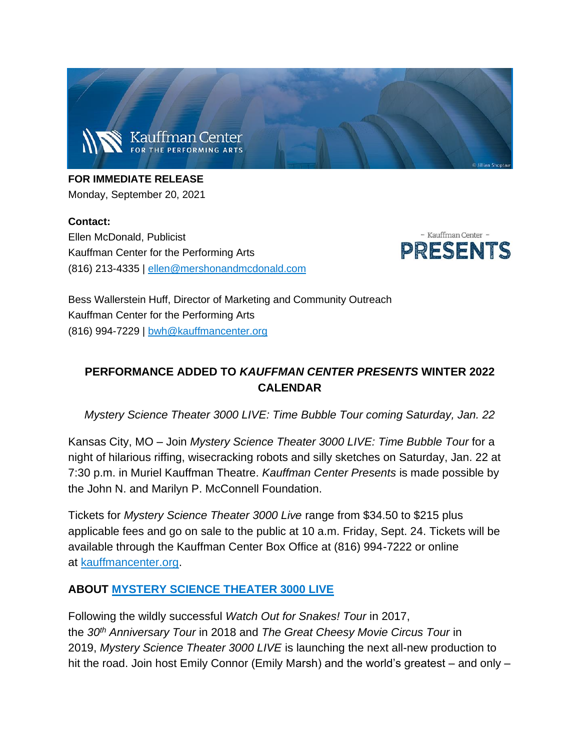

**FOR IMMEDIATE RELEASE** Monday, September 20, 2021

**Contact:** Ellen McDonald, Publicist Kauffman Center for the Performing Arts (816) 213-4335 | [ellen@mershonandmcdonald.com](mailto:ellen@mershonandmcdonald.com)



Bess Wallerstein Huff, Director of Marketing and Community Outreach Kauffman Center for the Performing Arts (816) 994-7229 | [bwh@kauffmancenter.org](mailto:bwh@kauffmancenter.org)

### **PERFORMANCE ADDED TO** *KAUFFMAN CENTER PRESENTS* **WINTER 2022 CALENDAR**

*Mystery Science Theater 3000 LIVE: Time Bubble Tour coming Saturday, Jan. 22*

Kansas City, MO – Join *Mystery Science Theater 3000 LIVE: Time Bubble Tour* for a night of hilarious riffing, wisecracking robots and silly sketches on Saturday, Jan. 22 at 7:30 p.m. in Muriel Kauffman Theatre. *Kauffman Center Presents* is made possible by the John N. and Marilyn P. McConnell Foundation.

Tickets for *Mystery Science Theater 3000 Live* range from \$34.50 to \$215 plus applicable fees and go on sale to the public at 10 a.m. Friday, Sept. 24. Tickets will be available through the Kauffman Center Box Office at (816) 994-7222 or online at [kauffmancenter.org.](https://e.wordfly.com/click?sid=MTc4XzE0NTQxXzEzMTExXzY3OTA&l=d906c89e-df05-ec11-a826-0050569d9d1d&utm_source=wordfly&utm_medium=email&utm_campaign=Release%3AMST3K&utm_content=version_A&sourceNumber=)

#### **ABOUT [MYSTERY SCIENCE THEATER 3000 LIVE](https://e.wordfly.com/click?sid=MTc4XzE0NTQxXzEzMTExXzY3OTA&l=da06c89e-df05-ec11-a826-0050569d9d1d&utm_source=wordfly&utm_medium=email&utm_campaign=Release%3AMST3K&utm_content=version_A&sourceNumber=)**

Following the wildly successful *Watch Out for Snakes! Tour* in 2017, the *30th Anniversary Tour* in 2018 and *The Great Cheesy Movie Circus Tour* in 2019, *Mystery Science Theater 3000 LIVE* is launching the next all-new production to hit the road. Join host Emily Connor (Emily Marsh) and the world's greatest – and only –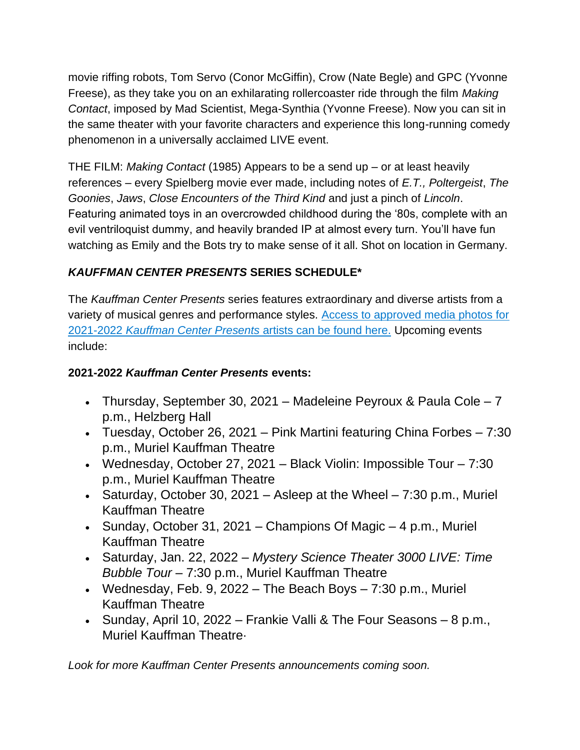movie riffing robots, Tom Servo (Conor McGiffin), Crow (Nate Begle) and GPC (Yvonne Freese), as they take you on an exhilarating rollercoaster ride through the film *Making Contact*, imposed by Mad Scientist, Mega-Synthia (Yvonne Freese). Now you can sit in the same theater with your favorite characters and experience this long-running comedy phenomenon in a universally acclaimed LIVE event.

THE FILM: *Making Contact* (1985) Appears to be a send up – or at least heavily references – every Spielberg movie ever made, including notes of *E.T., Poltergeist*, *The Goonies*, *Jaws*, *Close Encounters of the Third Kind* and just a pinch of *Lincoln*. Featuring animated toys in an overcrowded childhood during the '80s, complete with an evil ventriloquist dummy, and heavily branded IP at almost every turn. You'll have fun watching as Emily and the Bots try to make sense of it all. Shot on location in Germany.

# *KAUFFMAN CENTER PRESENTS* **SERIES SCHEDULE\***

The *Kauffman Center Presents* series features extraordinary and diverse artists from a variety of musical genres and performance styles. [Access to approved media photos for](https://e.wordfly.com/click?sid=MTc4XzE0NTQxXzEzMTExXzY3OTA&l=db06c89e-df05-ec11-a826-0050569d9d1d&utm_source=wordfly&utm_medium=email&utm_campaign=Release%3AMST3K&utm_content=version_A&sourceNumber=)  2021-2022 *[Kauffman Center Presents](https://e.wordfly.com/click?sid=MTc4XzE0NTQxXzEzMTExXzY3OTA&l=db06c89e-df05-ec11-a826-0050569d9d1d&utm_source=wordfly&utm_medium=email&utm_campaign=Release%3AMST3K&utm_content=version_A&sourceNumber=)* artists can be found here. Upcoming events include:

# **2021-2022** *Kauffman Center Presents* **events:**

- Thursday, September 30, 2021 Madeleine Peyroux & Paula Cole 7 p.m., Helzberg Hall
- Tuesday, October 26, 2021 Pink Martini featuring China Forbes 7:30 p.m., Muriel Kauffman Theatre
- Wednesday, October 27, 2021 Black Violin: Impossible Tour  $7:30$ p.m., Muriel Kauffman Theatre
- Saturday, October 30, 2021 Asleep at the Wheel  $-7:30$  p.m., Muriel Kauffman Theatre
- Sunday, October 31, 2021 Champions Of Magic 4 p.m., Muriel Kauffman Theatre
- Saturday, Jan. 22, 2022 *Mystery Science Theater 3000 LIVE: Time Bubble Tour* – 7:30 p.m., Muriel Kauffman Theatre
- Wednesday, Feb. 9, 2022 The Beach Boys  $7:30$  p.m., Muriel Kauffman Theatre
- Sunday, April 10, 2022 Frankie Valli & The Four Seasons 8 p.m., Muriel Kauffman Theatre·

*Look for more Kauffman Center Presents announcements coming soon.*